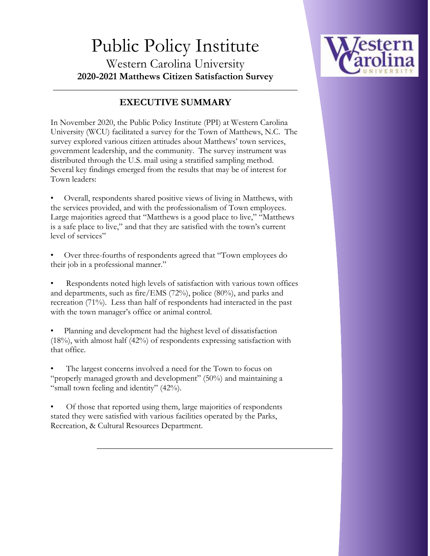

# Public Policy Institute Western Carolina University **2020-2021 Matthews Citizen Satisfaction Survey**

# **EXECUTIVE SUMMARY**

\_\_\_\_\_\_\_\_\_\_\_\_\_\_\_\_\_\_\_\_\_\_\_\_\_\_\_\_\_\_\_\_\_\_\_\_\_\_\_\_\_\_\_\_\_\_\_\_\_\_\_\_\_\_\_\_\_\_

In November 2020, the Public Policy Institute (PPI) at Western Carolina University (WCU) facilitated a survey for the Town of Matthews, N.C. The survey explored various citizen attitudes about Matthews' town services, government leadership, and the community. The survey instrument was distributed through the U.S. mail using a stratified sampling method. Several key findings emerged from the results that may be of interest for Town leaders:

• Overall, respondents shared positive views of living in Matthews, with the services provided, and with the professionalism of Town employees. Large majorities agreed that "Matthews is a good place to live," "Matthews is a safe place to live," and that they are satisfied with the town's current level of services"

• Over three-fourths of respondents agreed that "Town employees do their job in a professional manner."

• Respondents noted high levels of satisfaction with various town offices and departments, such as fire/EMS (72%), police (80%), and parks and recreation (71%). Less than half of respondents had interacted in the past with the town manager's office or animal control.

• Planning and development had the highest level of dissatisfaction (18%), with almost half (42%) of respondents expressing satisfaction with that office.

The largest concerns involved a need for the Town to focus on "properly managed growth and development" (50%) and maintaining a "small town feeling and identity" (42%).

• Of those that reported using them, large majorities of respondents stated they were satisfied with various facilities operated by the Parks, Recreation, & Cultural Resources Department.

**\_\_\_\_\_\_\_\_\_\_\_\_\_\_\_\_\_\_\_\_\_\_\_\_\_\_\_\_\_\_\_\_\_\_\_\_\_\_\_\_\_\_\_\_\_\_\_\_\_\_\_\_\_\_\_\_**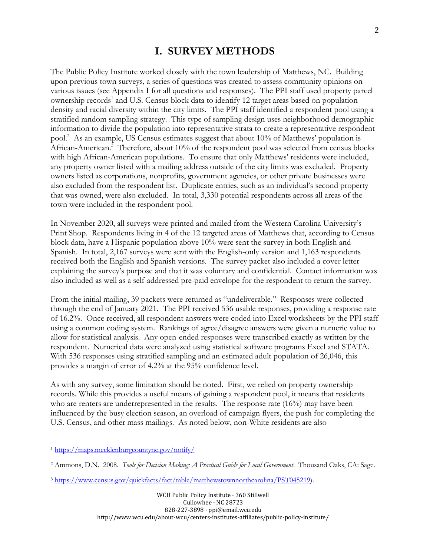### **I. SURVEY METHODS**

The Public Policy Institute worked closely with the town leadership of Matthews, NC. Building upon previous town surveys, a series of questions was created to assess community opinions on various issues (see Appendix I for all questions and responses). The PPI staff used property parcel ownership records<sup>1</sup> and U.S. Census block data to identify 12 target areas based on population density and racial diversity within the city limits. The PPI staff identified a respondent pool using a stratified random sampling strategy. This type of sampling design uses neighborhood demographic information to divide the population into representative strata to create a representative respondent pool.<sup>2</sup> As an example, US Census estimates suggest that about 10% of Matthews' population is African-American.<sup>3</sup> Therefore, about 10% of the respondent pool was selected from census blocks with high African-American populations. To ensure that only Matthews' residents were included, any property owner listed with a mailing address outside of the city limits was excluded. Property owners listed as corporations, nonprofits, government agencies, or other private businesses were also excluded from the respondent list. Duplicate entries, such as an individual's second property that was owned, were also excluded. In total, 3,330 potential respondents across all areas of the town were included in the respondent pool.

In November 2020, all surveys were printed and mailed from the Western Carolina University's Print Shop. Respondents living in 4 of the 12 targeted areas of Matthews that, according to Census block data, have a Hispanic population above 10% were sent the survey in both English and Spanish. In total, 2,167 surveys were sent with the English-only version and 1,163 respondents received both the English and Spanish versions. The survey packet also included a cover letter explaining the survey's purpose and that it was voluntary and confidential. Contact information was also included as well as a self-addressed pre-paid envelope for the respondent to return the survey.

From the initial mailing, 39 packets were returned as "undeliverable." Responses were collected through the end of January 2021. The PPI received 536 usable responses, providing a response rate of 16.2%. Once received, all respondent answers were coded into Excel worksheets by the PPI staff using a common coding system. Rankings of agree/disagree answers were given a numeric value to allow for statistical analysis. Any open-ended responses were transcribed exactly as written by the respondent. Numerical data were analyzed using statistical software programs Excel and STATA. With 536 responses using stratified sampling and an estimated adult population of 26,046, this provides a margin of error of 4.2% at the 95% confidence level.

As with any survey, some limitation should be noted. First, we relied on property ownership records. While this provides a useful means of gaining a respondent pool, it means that residents who are renters are underrepresented in the results. The response rate  $(16%)$  may have been influenced by the busy election season, an overload of campaign flyers, the push for completing the U.S. Census, and other mass mailings. As noted below, non-White residents are also

 $\overline{\phantom{a}}$ 

<sup>1</sup> <https://maps.mecklenburgcountync.gov/notify/>

<sup>2</sup> Ammons, D.N. 2008. *Tools for Decision Making: A Practical Guide for Local Government*. Thousand Oaks, CA: Sage.

<sup>3</sup> [https://www.census.gov/quickfacts/fact/table/matthewstownnorthcarolina/PST045219\)](https://www.census.gov/quickfacts/fact/table/matthewstownnorthcarolina/PST045219).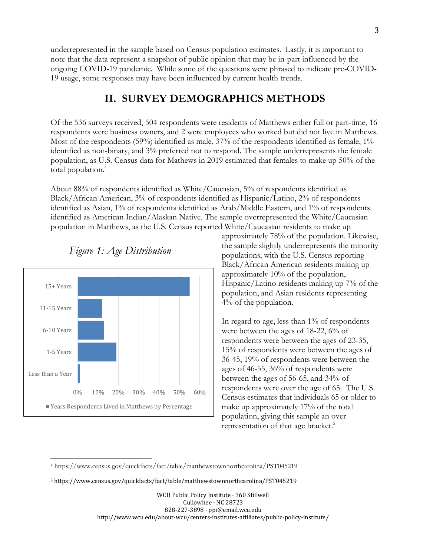underrepresented in the sample based on Census population estimates. Lastly, it is important to note that the data represent a snapshot of public opinion that may be in-part influenced by the ongoing COVID-19 pandemic. While some of the questions were phrased to indicate pre-COVID-19 usage, some responses may have been influenced by current health trends.

### **II. SURVEY DEMOGRAPHICS METHODS**

Of the 536 surveys received, 504 respondents were residents of Matthews either full or part-time, 16 respondents were business owners, and 2 were employees who worked but did not live in Matthews. Most of the respondents (59%) identified as male, 37% of the respondents identified as female, 1% identified as non-binary, and 3% preferred not to respond. The sample underrepresents the female population, as U.S. Census data for Mathews in 2019 estimated that females to make up 50% of the total population.<sup>4</sup>

About 88% of respondents identified as White/Caucasian, 5% of respondents identified as Black/African American, 3% of respondents identified as Hispanic/Latino, 2% of respondents identified as Asian, 1% of respondents identified as Arab/Middle Eastern, and 1% of respondents identified as American Indian/Alaskan Native. The sample overrepresented the White/Caucasian population in Matthews, as the U.S. Census reported White/Caucasian residents to make up



l



approximately 78% of the population. Likewise, the sample slightly underrepresents the minority populations, with the U.S. Census reporting Black/African American residents making up approximately 10% of the population, Hispanic/Latino residents making up 7% of the population, and Asian residents representing 4% of the population.

In regard to age, less than 1% of respondents were between the ages of 18-22, 6% of respondents were between the ages of 23-35, 15% of respondents were between the ages of 36-45, 19% of respondents were between the ages of 46-55, 36% of respondents were between the ages of 56-65, and 34% of respondents were over the age of 65. The U.S. Census estimates that individuals 65 or older to make up approximately 17% of the total population, giving this sample an over representation of that age bracket. 5

<sup>4</sup> https://www.census.gov/quickfacts/fact/table/matthewstownnorthcarolina/PST045219

<sup>5</sup> https://www.census.gov/quickfacts/fact/table/matthewstownnorthcarolina/PST045219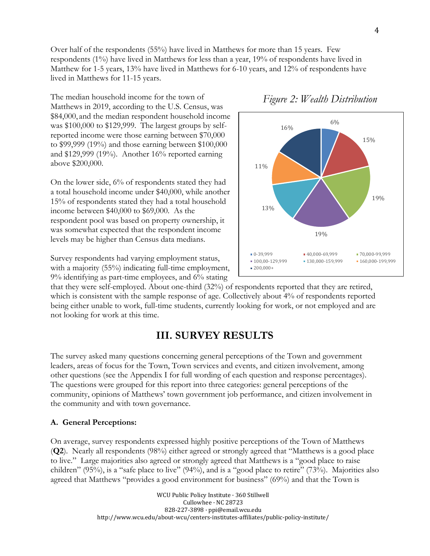Over half of the respondents (55%) have lived in Matthews for more than 15 years. Few respondents (1%) have lived in Matthews for less than a year, 19% of respondents have lived in Matthew for 1-5 years, 13% have lived in Matthews for 6-10 years, and 12% of respondents have lived in Matthews for 11-15 years.

The median household income for the town of Matthews in 2019, according to the U.S. Census, was \$84,000, and the median respondent household income was \$100,000 to \$129,999. The largest groups by selfreported income were those earning between \$70,000 to \$99,999 (19%) and those earning between \$100,000 and \$129,999 (19%). Another 16% reported earning above \$200,000.

On the lower side, 6% of respondents stated they had a total household income under \$40,000, while another 15% of respondents stated they had a total household income between \$40,000 to \$69,000. As the respondent pool was based on property ownership, it was somewhat expected that the respondent income levels may be higher than Census data medians.

Survey respondents had varying employment status, with a majority (55%) indicating full-time employment, 9% identifying as part-time employees, and 6% stating

that they were self-employed. About one-third (32%) of respondents reported that they are retired, which is consistent with the sample response of age. Collectively about 4% of respondents reported being either unable to work, full-time students, currently looking for work, or not employed and are not looking for work at this time.

## **III. SURVEY RESULTS**

The survey asked many questions concerning general perceptions of the Town and government leaders, areas of focus for the Town, Town services and events, and citizen involvement, among other questions (see the Appendix I for full wording of each question and response percentages). The questions were grouped for this report into three categories: general perceptions of the community, opinions of Matthews' town government job performance, and citizen involvement in the community and with town governance.

### **A. General Perceptions:**

On average, survey respondents expressed highly positive perceptions of the Town of Matthews (**Q2**). Nearly all respondents (98%) either agreed or strongly agreed that "Matthews is a good place to live." Large majorities also agreed or strongly agreed that Matthews is a "good place to raise children" (95%), is a "safe place to live" (94%), and is a "good place to retire" (73%). Majorities also agreed that Matthews "provides a good environment for business" (69%) and that the Town is

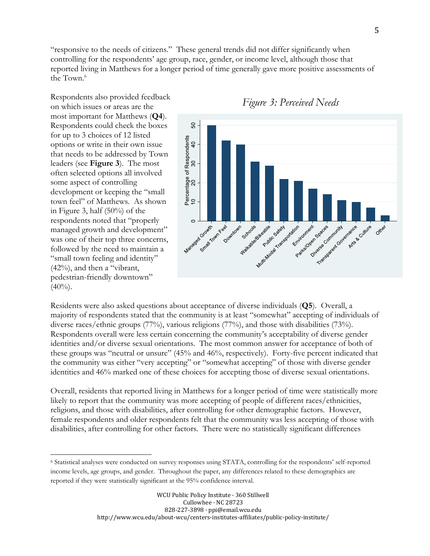"responsive to the needs of citizens." These general trends did not differ significantly when controlling for the respondents' age group, race, gender, or income level, although those that reported living in Matthews for a longer period of time generally gave more positive assessments of the Town. 6

Respondents also provided feedback on which issues or areas are the most important for Matthews (**Q4**). Respondents could check the boxes for up to 3 choices of 12 listed options or write in their own issue that needs to be addressed by Town leaders (see **Figure 3**). The most often selected options all involved some aspect of controlling development or keeping the "small town feel" of Matthews. As shown in Figure 3, half (50%) of the respondents noted that "properly managed growth and development" was one of their top three concerns, followed by the need to maintain a "small town feeling and identity" (42%), and then a "vibrant, pedestrian-friendly downtown"  $(40\%)$ .

 $\overline{\phantom{a}}$ 



*Figure 3: Perceived Needs*

Residents were also asked questions about acceptance of diverse individuals (**Q5**). Overall, a majority of respondents stated that the community is at least "somewhat" accepting of individuals of diverse races/ethnic groups (77%), various religions (77%), and those with disabilities (73%). Respondents overall were less certain concerning the community's acceptability of diverse gender identities and/or diverse sexual orientations. The most common answer for acceptance of both of these groups was "neutral or unsure" (45% and 46%, respectively). Forty-five percent indicated that the community was either "very accepting" or "somewhat accepting" of those with diverse gender identities and 46% marked one of these choices for accepting those of diverse sexual orientations.

Overall, residents that reported living in Matthews for a longer period of time were statistically more likely to report that the community was more accepting of people of different races/ethnicities, religions, and those with disabilities, after controlling for other demographic factors. However, female respondents and older respondents felt that the community was less accepting of those with disabilities, after controlling for other factors. There were no statistically significant differences

<sup>6</sup> Statistical analyses were conducted on survey responses using STATA, controlling for the respondents' self-reported income levels, age groups, and gender. Throughout the paper, any differences related to these demographics are reported if they were statistically significant at the 95% confidence interval.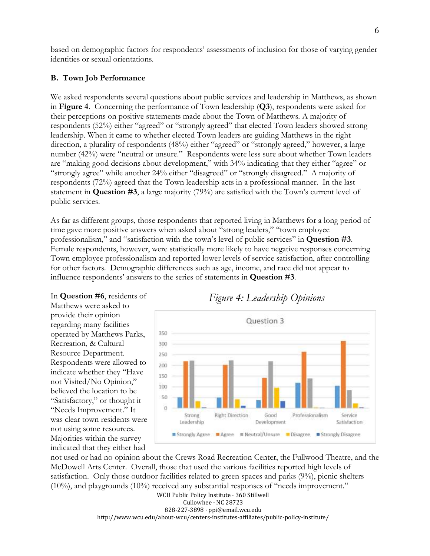based on demographic factors for respondents' assessments of inclusion for those of varying gender identities or sexual orientations.

#### **B. Town Job Performance**

We asked respondents several questions about public services and leadership in Matthews, as shown in **Figure 4**. Concerning the performance of Town leadership (**Q3**), respondents were asked for their perceptions on positive statements made about the Town of Matthews. A majority of respondents (52%) either "agreed" or "strongly agreed" that elected Town leaders showed strong leadership. When it came to whether elected Town leaders are guiding Matthews in the right direction, a plurality of respondents (48%) either "agreed" or "strongly agreed," however, a large number (42%) were "neutral or unsure." Respondents were less sure about whether Town leaders are "making good decisions about development," with 34% indicating that they either "agree" or "strongly agree" while another 24% either "disagreed" or "strongly disagreed." A majority of respondents (72%) agreed that the Town leadership acts in a professional manner. In the last statement in **Question #3**, a large majority (79%) are satisfied with the Town's current level of public services.

As far as different groups, those respondents that reported living in Matthews for a long period of time gave more positive answers when asked about "strong leaders," "town employee professionalism," and "satisfaction with the town's level of public services" in **Question #3**. Female respondents, however, were statistically more likely to have negative responses concerning Town employee professionalism and reported lower levels of service satisfaction, after controlling for other factors. Demographic differences such as age, income, and race did not appear to influence respondents' answers to the series of statements in **Question #3**.

In **Question #6**, residents of Matthews were asked to provide their opinion regarding many facilities operated by Matthews Parks, Recreation, & Cultural Resource Department. Respondents were allowed to indicate whether they "Have not Visited/No Opinion," believed the location to be "Satisfactory," or thought it "Needs Improvement." It was clear town residents were not using some resources. Majorities within the survey indicated that they either had





not used or had no opinion about the Crews Road Recreation Center, the Fullwood Theatre, and the McDowell Arts Center. Overall, those that used the various facilities reported high levels of satisfaction. Only those outdoor facilities related to green spaces and parks (9%), picnic shelters  $(10\%)$ , and playgrounds  $(10\%)$  received any substantial responses of "needs improvement."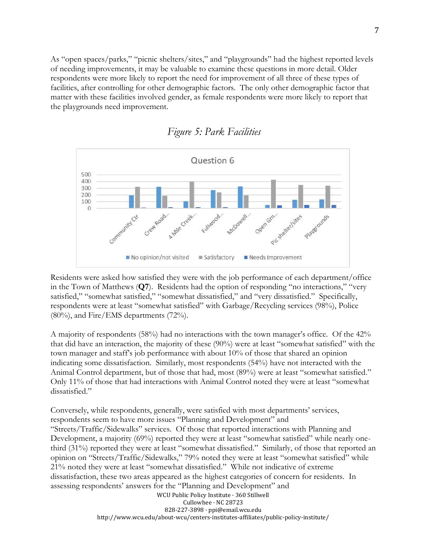As "open spaces/parks," "picnic shelters/sites," and "playgrounds" had the highest reported levels of needing improvements, it may be valuable to examine these questions in more detail. Older respondents were more likely to report the need for improvement of all three of these types of facilities, after controlling for other demographic factors. The only other demographic factor that matter with these facilities involved gender, as female respondents were more likely to report that the playgrounds need improvement.





Residents were asked how satisfied they were with the job performance of each department/office in the Town of Matthews (**Q7**). Residents had the option of responding "no interactions," "very satisfied," "somewhat satisfied," "somewhat dissatisfied," and "very dissatisfied." Specifically, respondents were at least "somewhat satisfied" with Garbage/Recycling services (98%), Police  $(80\%)$ , and Fire/EMS departments  $(72\%)$ .

A majority of respondents (58%) had no interactions with the town manager's office. Of the 42% that did have an interaction, the majority of these (90%) were at least "somewhat satisfied" with the town manager and staff's job performance with about 10% of those that shared an opinion indicating some dissatisfaction. Similarly, most respondents (54%) have not interacted with the Animal Control department, but of those that had, most (89%) were at least "somewhat satisfied." Only 11% of those that had interactions with Animal Control noted they were at least "somewhat dissatisfied."

WCU Public Policy Institute · 360 Stillwell Cullowhee · NC 28723 Conversely, while respondents, generally, were satisfied with most departments' services, respondents seem to have more issues "Planning and Development" and "Streets/Traffic/Sidewalks" services. Of those that reported interactions with Planning and Development, a majority (69%) reported they were at least "somewhat satisfied" while nearly onethird (31%) reported they were at least "somewhat dissatisfied." Similarly, of those that reported an opinion on "Streets/Traffic/Sidewalks," 79% noted they were at least "somewhat satisfied" while 21% noted they were at least "somewhat dissatisfied." While not indicative of extreme dissatisfaction, these two areas appeared as the highest categories of concern for residents. In assessing respondents' answers for the "Planning and Development" and

828-227-3898 · ppi@email.wcu.edu http://www.wcu.edu/about-wcu/centers-institutes-affiliates/public-policy-institute/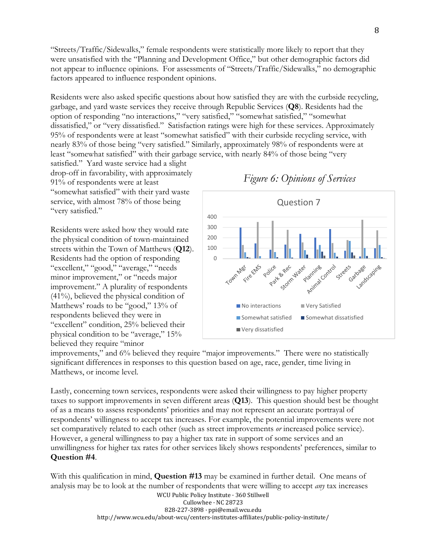"Streets/Traffic/Sidewalks," female respondents were statistically more likely to report that they were unsatisfied with the "Planning and Development Office," but other demographic factors did not appear to influence opinions. For assessments of "Streets/Traffic/Sidewalks," no demographic factors appeared to influence respondent opinions.

Residents were also asked specific questions about how satisfied they are with the curbside recycling, garbage, and yard waste services they receive through Republic Services (**Q8**). Residents had the option of responding "no interactions," "very satisfied," "somewhat satisfied," "somewhat dissatisfied," or "very dissatisfied." Satisfaction ratings were high for these services. Approximately 95% of respondents were at least "somewhat satisfied" with their curbside recycling service, with nearly 83% of those being "very satisfied." Similarly, approximately 98% of respondents were at least "somewhat satisfied" with their garbage service, with nearly 84% of those being "very

satisfied." Yard waste service had a slight drop-off in favorability, with approximately 91% of respondents were at least "somewhat satisfied" with their yard waste service, with almost 78% of those being "very satisfied."

Residents were asked how they would rate the physical condition of town-maintained streets within the Town of Matthews (**Q12**). Residents had the option of responding "excellent," "good," "average," "needs minor improvement," or "needs major improvement." A plurality of respondents (41%), believed the physical condition of Matthews' roads to be "good," 13% of respondents believed they were in "excellent" condition, 25% believed their physical condition to be "average," 15% believed they require "minor

Question 7 400 300 200 100  $\Omega$ Storm water Part Storm Antina Control Fire EMS Town Mer Planning landscaping Earloage Police streets ■ No interactions ■ Very Satisfied  $\blacksquare$  Somewhat satisfied  $\blacksquare$  Somewhat dissatisfied Very dissatisfied

improvements," and 6% believed they require "major improvements." There were no statistically significant differences in responses to this question based on age, race, gender, time living in Matthews, or income level.

Lastly, concerning town services, respondents were asked their willingness to pay higher property taxes to support improvements in seven different areas (**Q13**). This question should best be thought of as a means to assess respondents' priorities and may not represent an accurate portrayal of respondents' willingness to accept tax increases. For example, the potential improvements were not set comparatively related to each other (such as street improvements *or* increased police service). However, a general willingness to pay a higher tax rate in support of some services and an unwillingness for higher tax rates for other services likely shows respondents' preferences, similar to **Question #4**.

With this qualification in mind, **Question #13** may be examined in further detail. One means of analysis may be to look at the number of respondents that were willing to accept *any* tax increases

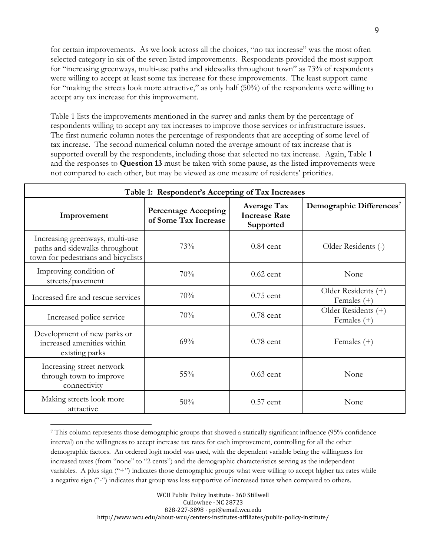for certain improvements. As we look across all the choices, "no tax increase" was the most often selected category in six of the seven listed improvements. Respondents provided the most support for "increasing greenways, multi-use paths and sidewalks throughout town" as 73% of respondents were willing to accept at least some tax increase for these improvements. The least support came for "making the streets look more attractive," as only half (50%) of the respondents were willing to accept any tax increase for this improvement.

Table 1 lists the improvements mentioned in the survey and ranks them by the percentage of respondents willing to accept any tax increases to improve those services or infrastructure issues. The first numeric column notes the percentage of respondents that are accepting of some level of tax increase. The second numerical column noted the average amount of tax increase that is supported overall by the respondents, including those that selected no tax increase. Again, Table 1 and the responses to **Question 13** must be taken with some pause, as the listed improvements were not compared to each other, but may be viewed as one measure of residents' priorities.

| Table 1: Respondent's Accepting of Tax Increases                                                         |                                                     |                                                         |                                      |  |  |
|----------------------------------------------------------------------------------------------------------|-----------------------------------------------------|---------------------------------------------------------|--------------------------------------|--|--|
| Improvement                                                                                              | <b>Percentage Accepting</b><br>of Some Tax Increase | <b>Average Tax</b><br><b>Increase Rate</b><br>Supported | Demographic Differences <sup>7</sup> |  |  |
| Increasing greenways, multi-use<br>paths and sidewalks throughout<br>town for pedestrians and bicyclists | 73%                                                 | $0.84$ cent                                             | Older Residents (-)                  |  |  |
| Improving condition of<br>streets/pavement                                                               | 70%                                                 | $0.62$ cent                                             | None                                 |  |  |
| Increased fire and rescue services                                                                       | 70%                                                 | $0.75$ cent                                             | Older Residents (+)<br>Females $(+)$ |  |  |
| Increased police service                                                                                 | 70%                                                 | $0.78$ cent                                             | Older Residents (+)<br>Females $(+)$ |  |  |
| Development of new parks or<br>increased amenities within<br>existing parks                              | 69%                                                 | $0.78$ cent                                             | Females $(+)$                        |  |  |
| Increasing street network<br>through town to improve<br>connectivity                                     | 55%                                                 | $0.63$ cent                                             | None                                 |  |  |
| Making streets look more<br>attractive                                                                   | 50%                                                 | $0.57$ cent                                             | None                                 |  |  |

<sup>7</sup> This column represents those demographic groups that showed a statically significant influence (95% confidence interval) on the willingness to accept increase tax rates for each improvement, controlling for all the other demographic factors. An ordered logit model was used, with the dependent variable being the willingness for increased taxes (from "none" to "2 cents") and the demographic characteristics serving as the independent variables. A plus sign ("+") indicates those demographic groups what were willing to accept higher tax rates while a negative sign ("-") indicates that group was less supportive of increased taxes when compared to others.

 $\overline{\phantom{a}}$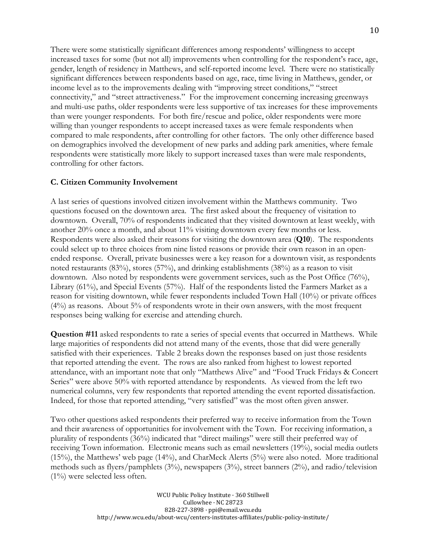There were some statistically significant differences among respondents' willingness to accept increased taxes for some (but not all) improvements when controlling for the respondent's race, age, gender, length of residency in Matthews, and self-reported income level. There were no statistically significant differences between respondents based on age, race, time living in Matthews, gender, or income level as to the improvements dealing with "improving street conditions," "street connectivity," and "street attractiveness." For the improvement concerning increasing greenways and multi-use paths, older respondents were less supportive of tax increases for these improvements than were younger respondents. For both fire/rescue and police, older respondents were more willing than younger respondents to accept increased taxes as were female respondents when compared to male respondents, after controlling for other factors. The only other difference based on demographics involved the development of new parks and adding park amenities, where female respondents were statistically more likely to support increased taxes than were male respondents, controlling for other factors.

### **C. Citizen Community Involvement**

A last series of questions involved citizen involvement within the Matthews community. Two questions focused on the downtown area. The first asked about the frequency of visitation to downtown. Overall, 70% of respondents indicated that they visited downtown at least weekly, with another 20% once a month, and about 11% visiting downtown every few months or less. Respondents were also asked their reasons for visiting the downtown area (**Q10**). The respondents could select up to three choices from nine listed reasons or provide their own reason in an openended response. Overall, private businesses were a key reason for a downtown visit, as respondents noted restaurants (83%), stores (57%), and drinking establishments (38%) as a reason to visit downtown. Also noted by respondents were government services, such as the Post Office (76%), Library (61%), and Special Events (57%). Half of the respondents listed the Farmers Market as a reason for visiting downtown, while fewer respondents included Town Hall (10%) or private offices  $(4\%)$  as reasons. About 5% of respondents wrote in their own answers, with the most frequent responses being walking for exercise and attending church.

**Question #11** asked respondents to rate a series of special events that occurred in Matthews. While large majorities of respondents did not attend many of the events, those that did were generally satisfied with their experiences. Table 2 breaks down the responses based on just those residents that reported attending the event. The rows are also ranked from highest to lowest reported attendance, with an important note that only "Matthews Alive" and "Food Truck Fridays & Concert Series" were above 50% with reported attendance by respondents. As viewed from the left two numerical columns, very few respondents that reported attending the event reported dissatisfaction. Indeed, for those that reported attending, "very satisfied" was the most often given answer.

Two other questions asked respondents their preferred way to receive information from the Town and their awareness of opportunities for involvement with the Town. For receiving information, a plurality of respondents (36%) indicated that "direct mailings" were still their preferred way of receiving Town information. Electronic means such as email newsletters (19%), social media outlets (15%), the Matthews' web page (14%), and CharMeck Alerts (5%) were also noted. More traditional methods such as flyers/pamphlets (3%), newspapers (3%), street banners (2%), and radio/television  $(1\%)$  were selected less often.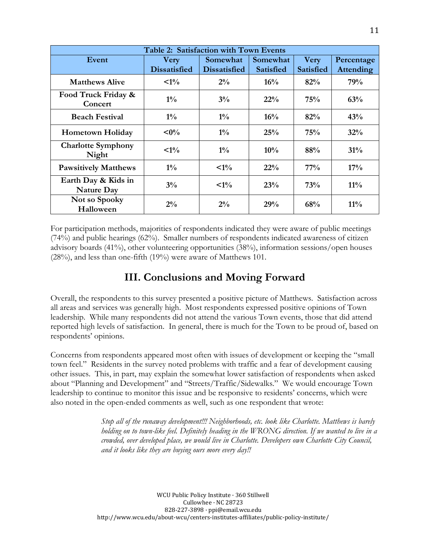| Table 2: Satisfaction with Town Events   |                                    |                                 |                              |                                 |                                |  |
|------------------------------------------|------------------------------------|---------------------------------|------------------------------|---------------------------------|--------------------------------|--|
| Event                                    | <b>Very</b><br><b>Dissatisfied</b> | Somewhat<br><b>Dissatisfied</b> | Somewhat<br><b>Satisfied</b> | <b>Very</b><br><b>Satisfied</b> | Percentage<br><b>Attending</b> |  |
|                                          |                                    |                                 |                              |                                 |                                |  |
| <b>Matthews Alive</b>                    | $<1\%$                             | $2\%$                           | $16\%$                       | 82%                             | 79%                            |  |
| Food Truck Friday &<br>Concert           | $1\%$                              | 3%                              | 22%                          | 75%                             | 63%                            |  |
| <b>Beach Festival</b>                    | $1\%$                              | $1\%$                           | 16%                          | 82%                             | 43%                            |  |
| <b>Hometown Holiday</b>                  | $<\!\!0\!\%$                       | $1\%$                           | 25%                          | 75%                             | 32%                            |  |
| <b>Charlotte Symphony</b><br>Night       | $\leq 1\%$                         | $1\%$                           | $10\%$                       | 88%                             | 31%                            |  |
| <b>Pawsitively Matthews</b>              | $1\%$                              | $\leq 1\%$                      | 22%                          | $77\%$                          | 17%                            |  |
| Earth Day & Kids in<br><b>Nature Day</b> | $3\%$                              | $\leq 1\%$                      | 23%                          | 73%                             | $11\%$                         |  |
| Not so Spooky<br>Halloween               | $2\%$                              | $2\%$                           | 29%                          | 68%                             | $11\%$                         |  |

For participation methods, majorities of respondents indicated they were aware of public meetings (74%) and public hearings (62%). Smaller numbers of respondents indicated awareness of citizen advisory boards (41%), other volunteering opportunities (38%), information sessions/open houses (28%), and less than one-fifth (19%) were aware of Matthews 101.

# **III. Conclusions and Moving Forward**

Overall, the respondents to this survey presented a positive picture of Matthews. Satisfaction across all areas and services was generally high. Most respondents expressed positive opinions of Town leadership. While many respondents did not attend the various Town events, those that did attend reported high levels of satisfaction. In general, there is much for the Town to be proud of, based on respondents' opinions.

Concerns from respondents appeared most often with issues of development or keeping the "small town feel." Residents in the survey noted problems with traffic and a fear of development causing other issues. This, in part, may explain the somewhat lower satisfaction of respondents when asked about "Planning and Development" and "Streets/Traffic/Sidewalks." We would encourage Town leadership to continue to monitor this issue and be responsive to residents' concerns, which were also noted in the open-ended comments as well, such as one respondent that wrote:

> *Stop all of the runaway development!!! Neighborhoods, etc. look like Charlotte. Matthews is barely holding on to town-like feel. Definitely heading in the WRONG direction. If we wanted to live in a crowded, over developed place, we would live in Charlotte. Developers own Charlotte City Council, and it looks like they are buying ours more every day!!*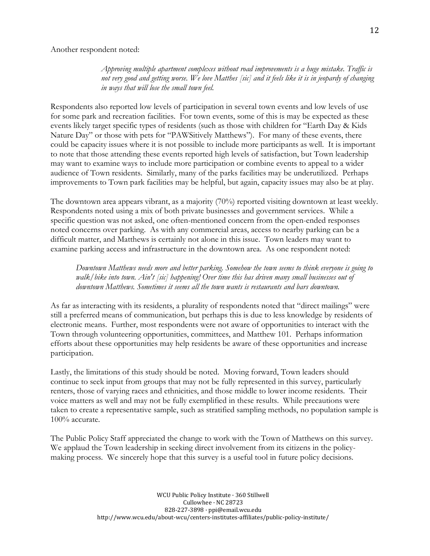Another respondent noted:

*Approving multiple apartment complexes without road improvements is a huge mistake. Traffic is not very good and getting worse. We love Matthes [sic] and it feels like it is in jeopardy of changing in ways that will lose the small town feel.*

Respondents also reported low levels of participation in several town events and low levels of use for some park and recreation facilities. For town events, some of this is may be expected as these events likely target specific types of residents (such as those with children for "Earth Day & Kids Nature Day" or those with pets for "PAWSitively Matthews"). For many of these events, there could be capacity issues where it is not possible to include more participants as well. It is important to note that those attending these events reported high levels of satisfaction, but Town leadership may want to examine ways to include more participation or combine events to appeal to a wider audience of Town residents. Similarly, many of the parks facilities may be underutilized. Perhaps improvements to Town park facilities may be helpful, but again, capacity issues may also be at play.

The downtown area appears vibrant, as a majority (70%) reported visiting downtown at least weekly. Respondents noted using a mix of both private businesses and government services. While a specific question was not asked, one often-mentioned concern from the open-ended responses noted concerns over parking. As with any commercial areas, access to nearby parking can be a difficult matter, and Matthews is certainly not alone in this issue. Town leaders may want to examine parking access and infrastructure in the downtown area. As one respondent noted:

*Downtown Matthews needs more and better parking. Somehow the town seems to think everyone is going to walk/bike into town. Ain't [sic] happening! Over time this has driven many small businesses out of downtown Matthews. Sometimes it seems all the town wants is restaurants and bars downtown.*

As far as interacting with its residents, a plurality of respondents noted that "direct mailings" were still a preferred means of communication, but perhaps this is due to less knowledge by residents of electronic means. Further, most respondents were not aware of opportunities to interact with the Town through volunteering opportunities, committees, and Matthew 101. Perhaps information efforts about these opportunities may help residents be aware of these opportunities and increase participation.

Lastly, the limitations of this study should be noted. Moving forward, Town leaders should continue to seek input from groups that may not be fully represented in this survey, particularly renters, those of varying races and ethnicities, and those middle to lower income residents. Their voice matters as well and may not be fully exemplified in these results. While precautions were taken to create a representative sample, such as stratified sampling methods, no population sample is 100% accurate.

The Public Policy Staff appreciated the change to work with the Town of Matthews on this survey. We applaud the Town leadership in seeking direct involvement from its citizens in the policymaking process. We sincerely hope that this survey is a useful tool in future policy decisions.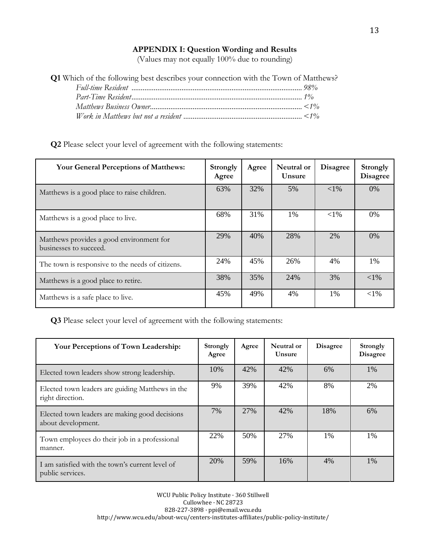### **APPENDIX I: Question Wording and Results**

(Values may not equally 100% due to rounding)

| <b>Q1</b> Which of the following best describes your connection with the Town of Matthews? |  |
|--------------------------------------------------------------------------------------------|--|
|                                                                                            |  |
|                                                                                            |  |
|                                                                                            |  |
|                                                                                            |  |

### **Q2** Please select your level of agreement with the following statements:

| <b>Your General Perceptions of Matthews:</b>                       | <b>Strongly</b><br>Agree | Agree | Neutral or<br>Unsure | <b>Disagree</b> | <b>Strongly</b><br><b>Disagree</b> |
|--------------------------------------------------------------------|--------------------------|-------|----------------------|-----------------|------------------------------------|
| Matthews is a good place to raise children.                        | 63%                      | 32%   | 5%                   | $<$ 1%          | $0\%$                              |
| Matthews is a good place to live.                                  | 68%                      | 31%   | $1\%$                | ${<}1\%$        | $0\%$                              |
| Matthews provides a good environment for<br>businesses to succeed. | 29%                      | 40%   | 28%                  | 2%              | 0%                                 |
| The town is responsive to the needs of citizens.                   | 24%                      | 45%   | 26%                  | 4%              | 1%                                 |
| Matthews is a good place to retire.                                | 38%                      | 35%   | 24%                  | 3%              | $<$ 1%                             |
| Matthews is a safe place to live.                                  | 45%                      | 49%   | 4%                   | 1%              | ${<}1\%$                           |

**Q3** Please select your level of agreement with the following statements:

| <b>Your Perceptions of Town Leadership:</b>                          | Strongly<br>Agree | Agree | Neutral or<br>Unsure | <b>Disagree</b> | <b>Strongly</b><br><b>Disagree</b> |
|----------------------------------------------------------------------|-------------------|-------|----------------------|-----------------|------------------------------------|
| Elected town leaders show strong leadership.                         | 10%               | 42%   | 42%                  | 6%              | 1%                                 |
| Elected town leaders are guiding Matthews in the<br>right direction. | 9%                | 39%   | 42%                  | 8%              | 2%                                 |
| Elected town leaders are making good decisions<br>about development. | 7%                | 27%   | 42%                  | 18%             | 6%                                 |
| Town employees do their job in a professional<br>manner.             | 22%               | 50%   | 27%                  | $1\%$           | $1\%$                              |
| I am satisfied with the town's current level of<br>public services.  | 20%               | 59%   | 16%                  | 4%              | 1%                                 |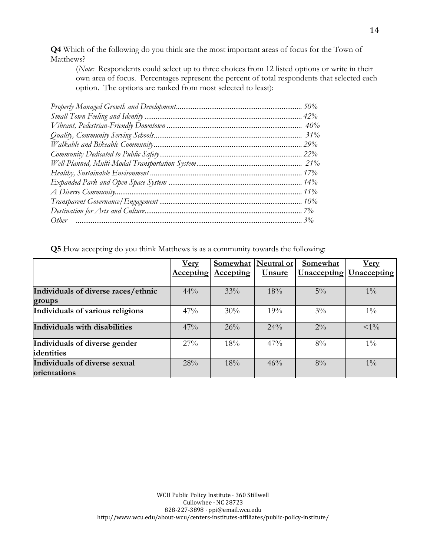**Q4** Which of the following do you think are the most important areas of focus for the Town of Matthews?

(*Note:* Respondents could select up to three choices from 12 listed options or write in their own area of focus. Percentages represent the percent of total respondents that selected each option. The options are ranked from most selected to least):

|                                     | <u>Very</u>      | <b>Somewhat</b>  | <b>Neutral or</b> | <b>Somewhat</b>    | <u>Very</u>        |
|-------------------------------------|------------------|------------------|-------------------|--------------------|--------------------|
|                                     | <b>Accepting</b> | <b>Accepting</b> | <u>Unsure</u>     | <u>Unaccepting</u> | <b>Unaccepting</b> |
|                                     |                  |                  |                   |                    |                    |
| Individuals of diverse races/ethnic | 44%              | 33%              | 18%               | $5\%$              | $1\%$              |
| groups                              |                  |                  |                   |                    |                    |
| Individuals of various religions    | 47%              | 30%              | 19%               | $3\%$              | $1\%$              |
|                                     |                  |                  |                   |                    |                    |
| Individuals with disabilities       | 47%              | 26%              | $24\%$            | $2\%$              | ${<}1\%$           |
|                                     |                  |                  |                   |                    |                    |
| Individuals of diverse gender       | $27\%$           | 18%              | 47%               | $8\%$              | $1\%$              |
| identities                          |                  |                  |                   |                    |                    |
| Individuals of diverse sexual       | 28%              | 18%              | 46%               | $8\%$              | $1\%$              |
| orientations                        |                  |                  |                   |                    |                    |

**Q5** How accepting do you think Matthews is as a community towards the following: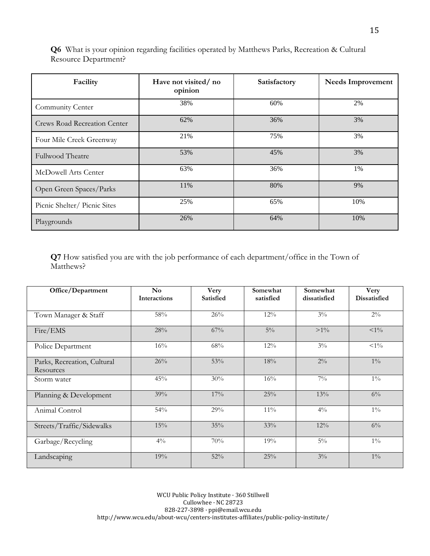**Q6** What is your opinion regarding facilities operated by Matthews Parks, Recreation & Cultural Resource Department?

| Facility                            | Have not visited/no<br>opinion | Satisfactory | Needs Improvement |
|-------------------------------------|--------------------------------|--------------|-------------------|
| Community Center                    | 38%                            | 60%          | 2%                |
| <b>Crews Road Recreation Center</b> | 62%                            | 36%          | 3%                |
| Four Mile Creek Greenway            | 21%                            | 75%          | 3%                |
| Fullwood Theatre                    | 53%                            | 45%          | 3%                |
| McDowell Arts Center                | 63%                            | 36%          | 1%                |
| Open Green Spaces/Parks             | 11%                            | 80%          | 9%                |
| Picnic Shelter/Picnic Sites         | 25%                            | 65%          | 10%               |
| Playgrounds                         | 26%                            | 64%          | 10%               |

**Q7** How satisfied you are with the job performance of each department/office in the Town of Matthews?

| Office/Department                        | $\mathbf{N}\mathbf{o}$<br>Interactions | Very<br><b>Satisfied</b> | Somewhat<br>satisfied | Somewhat<br>dissatisfied | Very<br><b>Dissatisfied</b> |
|------------------------------------------|----------------------------------------|--------------------------|-----------------------|--------------------------|-----------------------------|
| Town Manager & Staff                     | 58%                                    | 26%                      | 12%                   | $3\%$                    | $2\%$                       |
| Fire/EMS                                 | 28%                                    | 67%                      | $5\%$                 | $>1\%$                   | $<1\%$                      |
| Police Department                        | 16%                                    | 68%                      | 12%                   | $3\%$                    | $<1\%$                      |
| Parks, Recreation, Cultural<br>Resources | 26%                                    | 53%                      | 18%                   | $2\%$                    | $1\%$                       |
| Storm water                              | 45%                                    | 30%                      | 16%                   | $7\%$                    | $1\%$                       |
| Planning & Development                   | 39%                                    | 17%                      | 25%                   | 13%                      | $6\%$                       |
| Animal Control                           | 54%                                    | 29%                      | 11%                   | $4\%$                    | $1\%$                       |
| Streets/Traffic/Sidewalks                | 15%                                    | 35%                      | 33%                   | 12%                      | $6\%$                       |
| Garbage/Recycling                        | $4\%$                                  | 70%                      | 19%                   | $5\%$                    | $1\%$                       |
| Landscaping                              | 19%                                    | 52%                      | 25%                   | $3\%$                    | $1\%$                       |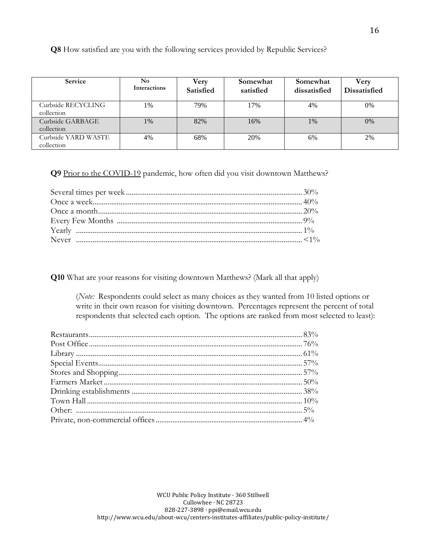**Q8** How satisfied are you with the following services provided by Republic Services?

| <b>Service</b>                    | No<br><b>Interactions</b> | Very<br><b>Satisfied</b> | Somewhat<br>satisfied | Somewhat<br>dissatisfied | Verv<br><b>Dissatisfied</b> |
|-----------------------------------|---------------------------|--------------------------|-----------------------|--------------------------|-----------------------------|
| Curbside RECYCLING<br>collection  | 1%                        | 79%                      | 17%                   | 4%                       | 0%                          |
| Curbside GARBAGE<br>collection    | $1\%$                     | 82%                      | 16%                   | $1\%$                    | 0%                          |
| Curbside YARD WASTE<br>collection | 4%                        | 68%                      | 20%                   | 6%                       | 2%                          |

**Q9** Prior to the COVID-19 pandemic, how often did you visit downtown Matthews?

**Q10** What are your reasons for visiting downtown Matthews? (Mark all that apply)

(*Note:* Respondents could select as many choices as they wanted from 10 listed options or write in their own reason for visiting downtown. Percentages represent the percent of total respondents that selected each option. The options are ranked from most selected to least):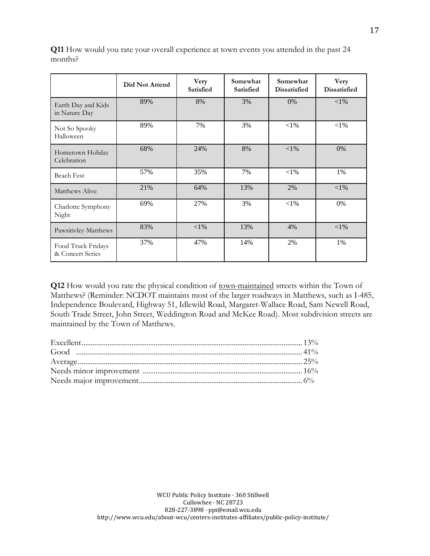|                                        | Did Not Attend | Very<br><b>Satisfied</b> | Somewhat<br><b>Satisfied</b> | Somewhat<br><b>Dissatisfied</b> | Very<br><b>Dissatisfied</b> |
|----------------------------------------|----------------|--------------------------|------------------------------|---------------------------------|-----------------------------|
| Earth Day and Kids<br>in Nature Day    | 89%            | 8%                       | 3%                           | 0%                              | ${<}1\%$                    |
| Not So Spooky<br>Halloween             | 89%            | 7%                       | 3%                           | $<$ 1%                          | $<$ 1%                      |
| Hometown Holiday<br>Celebration        | 68%            | 24%                      | 8%                           | ${<}1\%$                        | 0%                          |
| <b>Beach Fest</b>                      | 57%            | 35%                      | 7%                           | ${<}1\%$                        | 1%                          |
| Matthews Alive                         | 21%            | 64%                      | 13%                          | 2%                              | $<$ 1%                      |
| Charlotte Symphony<br>Night            | 69%            | 27%                      | 3%                           | $<$ 1%                          | 0%                          |
| Pawsitivley Matthews                   | 83%            | ${<}1\%$                 | 13%                          | 4%                              | $<$ 1%                      |
| Food Truck Fridays<br>& Concert Series | 37%            | 47%                      | 14%                          | 2%                              | 1%                          |

**Q11** How would you rate your overall experience at town events you attended in the past 24 months?

**Q12** How would you rate the physical condition of town-maintained streets within the Town of Matthews? (Reminder: NCDOT maintains most of the larger roadways in Matthews, such as I-485, Independence Boulevard, Highway 51, Idlewild Road, Margaret-Wallace Road, Sam Newell Road, South Trade Street, John Street, Weddington Road and McKee Road). Most subdivision streets are maintained by the Town of Matthews.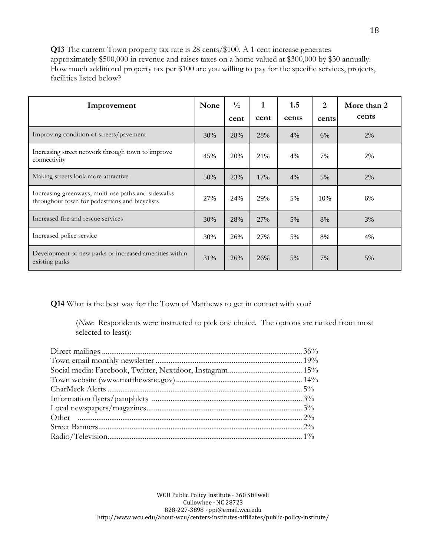**Q13** The current Town property tax rate is 28 cents/\$100. A 1 cent increase generates approximately \$500,000 in revenue and raises taxes on a home valued at \$300,000 by \$30 annually. How much additional property tax per \$100 are you willing to pay for the specific services, projects, facilities listed below?

| Improvement                                                                                           | None | $\frac{1}{2}$ | $\mathbf{1}$ | 1.5   | $\overline{2}$ | More than 2<br>cents |
|-------------------------------------------------------------------------------------------------------|------|---------------|--------------|-------|----------------|----------------------|
|                                                                                                       |      | cent          | cent         | cents | cents          |                      |
| Improving condition of streets/pavement                                                               | 30%  | 28%           | 28%          | 4%    | 6%             | 2%                   |
| Increasing street network through town to improve<br>connectivity                                     | 45%  | 20%           | 21%          | 4%    | 7%             | 2%                   |
| Making streets look more attractive                                                                   | 50%  | 23%           | 17%          | 4%    | 5%             | 2%                   |
| Increasing greenways, multi-use paths and sidewalks<br>throughout town for pedestrians and bicyclists | 27%  | 24%           | 29%          | 5%    | 10%            | 6%                   |
| Increased fire and rescue services                                                                    | 30%  | 28%           | 27%          | 5%    | 8%             | 3%                   |
| Increased police service                                                                              | 30%  | 26%           | 27%          | 5%    | 8%             | 4%                   |
| Development of new parks or increased amenities within<br>existing parks                              | 31%  | 26%           | 26%          | 5%    | 7%             | 5%                   |

**Q14** What is the best way for the Town of Matthews to get in contact with you?

(*Note:* Respondents were instructed to pick one choice. The options are ranked from most selected to least):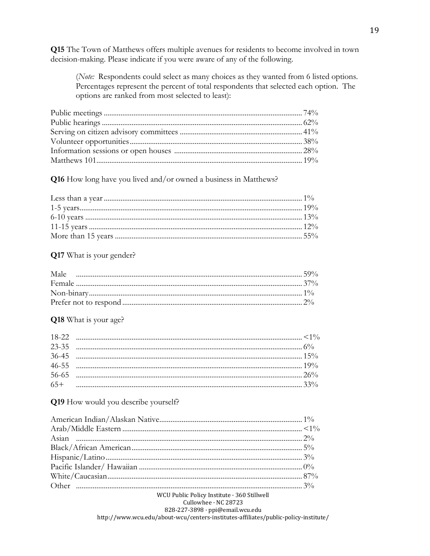**Q15** The Town of Matthews offers multiple avenues for residents to become involved in town decision-making. Please indicate if you were aware of any of the following.

(Note: Respondents could select as many choices as they wanted from 6 listed options. Percentages represent the percent of total respondents that selected each option. The options are ranked from most selected to least):

Q16 How long have you lived and/or owned a business in Matthews?

### Q17 What is your gender?

#### Q18 What is your age?

#### Q19 How would you describe yourself?

| WCU Public Policy Institute · 360 Stillwell |  |
|---------------------------------------------|--|
| Cullowhee · NC 28723                        |  |

828-227-3898 · ppi@email.wcu.edu

http://www.wcu.edu/about-wcu/centers-institutes-affiliates/public-policy-institute/